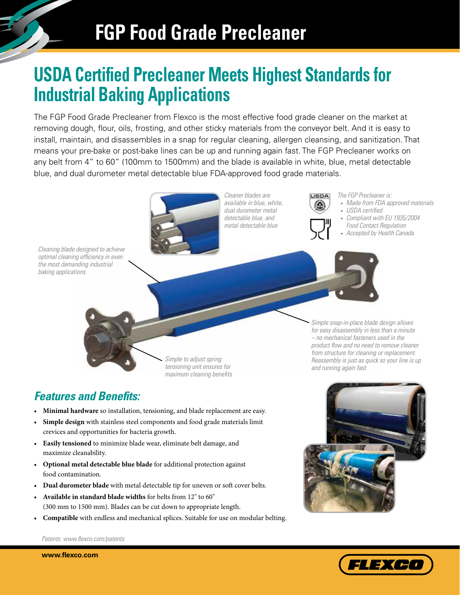# **USDA Certified Precleaner Meets Highest Standards for Industrial Baking Applications**

The FGP Food Grade Precleaner from Flexco is the most effective food grade cleaner on the market at removing dough, flour, oils, frosting, and other sticky materials from the conveyor belt. And it is easy to install, maintain, and disassembles in a snap for regular cleaning, allergen cleansing, and sanitization. That means your pre-bake or post-bake lines can be up and running again fast. The FGP Precleaner works on any belt from 4" to 60" (100mm to 1500mm) and the blade is available in white, blue, metal detectable blue, and dual durometer metal detectable blue FDA-approved food grade materials.



### *Features and Benefits:*

- **Minimal hardware** so installation, tensioning, and blade replacement are easy.
- **Simple design** with stainless steel components and food grade materials limit crevices and opportunities for bacteria growth.
- **Easily tensioned** to minimize blade wear, eliminate belt damage, and maximize cleanability.
- **Optional metal detectable blue blade** for additional protection against food contamination.
- **Dual durometer blade** with metal detectable tip for uneven or soft cover belts.
- **Available in standard blade widths** for belts from 12" to 60" (300 mm to 1500 mm). Blades can be cut down to appropriate length.
- **Compatible** with endless and mechanical splices. Suitable for use on modular belting.

FLEXCO

*Patents: www.flexco.com/patents*

**www.flexco.com**